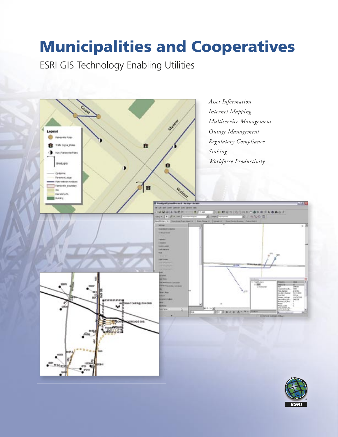# Municipalities and Cooperatives

ESRI GIS Technology Enabling Utilities



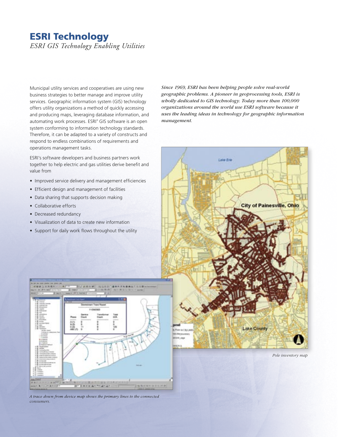### ESRI Technology

*ESRI GIS Technology Enabling Utilities*

Municipal utility services and cooperatives are using new business strategies to better manage and improve utility services. Geographic information system (GIS) technology offers utility organizations a method of quickly accessing and producing maps, leveraging database information, and automating work processes. ESRI<sup>®</sup> GIS software is an open system conforming to information technology standards. Therefore, it can be adapted to a variety of constructs and respond to endless combinations of requirements and operations management tasks.

ESRI's software developers and business partners work together to help electric and gas utilities derive benefit and value from

- Improved service delivery and management efficiencies
- Efficient design and management of facilities
- Data sharing that supports decision making
- Collaborative efforts
- Decreased redundancy
- Visualization of data to create new information
- Support for daily work flows throughout the utility

*Since 1969, ESRI has been helping people solve real-world geographic problems. A pioneer in geoprocessing tools, ESRI is wholly dedicated to GIS technology. Today more than 100,000 organizations around the world use ESRI software because it uses the leading ideas in technology for geographic information management.*





*A trace down from device map shows the primary lines to the connected consumers.*

*Pole inventory map*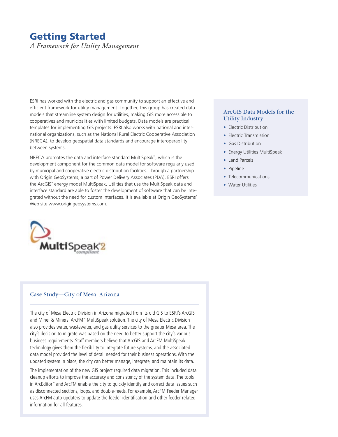# Getting Started

*A Framework for Utility Management*

ESRI has worked with the electric and gas community to support an effective and efficient framework for utility management. Together, this group has created data models that streamline system design for utilities, making GIS more accessible to cooperatives and municipalities with limited budgets. Data models are practical templates for implementing GIS projects. ESRI also works with national and international organizations, such as the National Rural Electric Cooperative Association (NRECA), to develop geospatial data standards and encourage interoperability between systems.

NRECA promotes the data and interface standard MultiSpeak™, which is the development component for the common data model for software regularly used by municipal and cooperative electric distribution facilities. Through a partnership with Origin GeoSystems, a part of Power Delivery Associates (PDA), ESRI offers the ArcGIS® energy model MultiSpeak. Utilities that use the MultiSpeak data and interface standard are able to foster the development of software that can be integrated without the need for custom interfaces. It is available at Origin GeoSystems' Web site www.origingeosystems.com.



#### Case Study—City of Mesa, Arizona

The city of Mesa Electric Division in Arizona migrated from its old GIS to ESRI's ArcGIS and Miner & Miners' ArcFM™ MultiSpeak solution. The city of Mesa Electric Division also provides water, wastewater, and gas utility services to the greater Mesa area. The city's decision to migrate was based on the need to better support the city's various business requirements. Staff members believe that ArcGIS and ArcFM MultiSpeak technology gives them the flexibility to integrate future systems, and the associated data model provided the level of detail needed for their business operations. With the updated system in place, the city can better manage, integrate, and maintain its data.

The implementation of the new GIS project required data migration. This included data cleanup efforts to improve the accuracy and consistency of the system data. The tools in ArcEditor™ and ArcFM enable the city to quickly identify and correct data issues such as disconnected sections, loops, and double-feeds. For example, ArcFM Feeder Manager uses ArcFM auto updaters to update the feeder identification and other feeder-related information for all features.

#### ArcGIS Data Models for the Utility Industry

- Electric Distribution
- Electric Transmission
- Gas Distribution
- Energy Utilities MultiSpeak
- Land Parcels
- Pipeline
- Telecommunications
- Water Utilities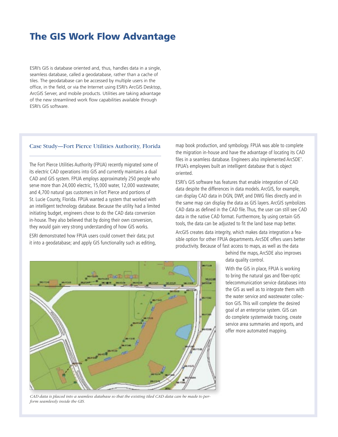## The GIS Work Flow Advantage

ESRI's GIS is database oriented and, thus, handles data in a single, seamless database, called a geodatabase, rather than a cache of tiles. The geodatabase can be accessed by multiple users in the office, in the field, or via the Internet using ESRI's ArcGIS Desktop, ArcGIS Server, and mobile products. Utilities are taking advantage of the new streamlined work flow capabilities available through ESRI's GIS software.

#### Case Study—Fort Pierce Utilities Authority, Florida

The Fort Pierce Utilities Authority (FPUA) recently migrated some of its electric CAD operations into GIS and currently maintains a dual CAD and GIS system. FPUA employs approximately 250 people who serve more than 24,000 electric, 15,000 water, 12,000 wastewater, and 4,700 natural gas customers in Fort Pierce and portions of St. Lucie County, Florida. FPUA wanted a system that worked with an intelligent technology database. Because the utility had a limited initiating budget, engineers chose to do the CAD data conversion in-house. They also believed that by doing their own conversion, they would gain very strong understanding of how GIS works.

ESRI demonstrated how FPUA users could convert their data; put it into a geodatabase; and apply GIS functionality such as editing, map book production, and symbology. FPUA was able to complete the migration in-house and have the advantage of locating its CAD files in a seamless database. Engineers also implemented ArcSDE®. FPUA's employees built an intelligent database that is object oriented.

ESRI's GIS software has features that enable integration of CAD data despite the differences in data models. ArcGIS, for example, can display CAD data in DGN, DWF, and DWG files directly and in the same map can display the data as GIS layers. ArcGIS symbolizes CAD data as defined in the CAD file. Thus, the user can still see CAD data in the native CAD format. Furthermore, by using certain GIS tools, the data can be adjusted to fit the land base map better.

ArcGIS creates data integrity, which makes data integration a feasible option for other FPUA departments. ArcSDE offers users better productivity. Because of fast access to maps, as well as the data

> behind the maps, ArcSDE also improves data quality control.

With the GIS in place, FPUA is working to bring the natural gas and fiber-optic telecommunication service databases into the GIS as well as to integrate them with the water service and wastewater collection GIS. This will complete the desired goal of an enterprise system. GIS can do complete systemwide tracing, create service area summaries and reports, and offer more automated mapping.



*CAD data is placed into a seamless database so that the existing tiled CAD data can be made to perform seamlessly inside the GIS.*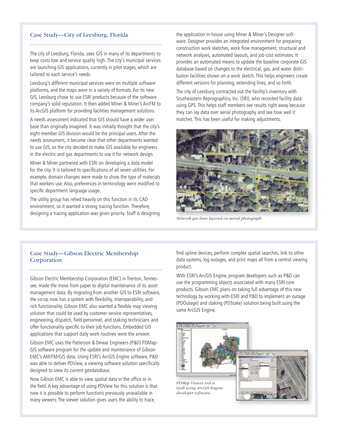#### Case Study—City of Leesburg, Florida

The city of Leesburg, Florida, uses GIS in many of its departments to keep costs low and service quality high. The city's municipal services are launching GIS applications, currently in pilot stages, which are tailored to each service's needs.

Leesburg's different municipal services were on multiple software platforms, and the maps were in a variety of formats. For its new GIS, Leesburg chose to use ESRI products because of the software company's solid reputation. It then added Miner & Miner's ArcFM to its ArcGIS platform for providing facilities management solutions.

A needs assessment indicated that GIS should have a wider user base than originally imagined. It was initially thought that the city's eight-member GIS division would be the principal users. After the needs assessment, it became clear that other departments wanted to use GIS, so the city decided to make GIS available for engineers in the electric and gas departments to use it for network design.

Miner & Miner partnered with ESRI on developing a data model for the city. It is tailored to specifications of all seven utilities. For example, domain changes were made to show the type of materials that workers use. Also, preferences in terminology were modified to specific department language usage.

The utility group has relied heavily on this function in its CAD environment, so it wanted a strong tracing function. Therefore, designing a tracing application was given priority. Staff is designing the application in-house using Miner & Miner's Designer software. Designer provides an integrated environment for preparing construction work sketches, work flow management, structural and network analyses, automated layouts, and job cost estimates. It provides an automated means to update the baseline corporate GIS database based on changes to the electrical, gas, and water distribution facilities shown on a work sketch. This helps engineers create different versions for planning, extending lines, and so forth.

The city of Leesburg contracted out the facility's inventory with Southeastern Reprographics, Inc. (SRI), who recorded facility data using GPS. This helps staff members see results right away because they can lay data over aerial photography and see how well it matches. This has been useful for making adjustments.



*Network gas lines layered on aerial photograph*

#### Case Study—Gibson Electric Membership **Corporation**

Gibson Electric Membership Corporation (EMC) in Trenton, Tennessee, made the move from paper to digital maintenance of its asset management data. By migrating from another GIS to ESRI software, the co-op now has a system with flexibility, interoperability, and rich functionality. Gibson EMC also wanted a flexible map viewing solution that could be used by customer service representatives, engineering, dispatch, field personnel, and staking technicians and offer functionality specific to their job functions. Embedded GIS applications that support daily work routines were the answer.

Gibson EMC uses the Patterson & Dewar Engineers (P&D) PDMap-GIS software program for the update and maintenance of Gibson EMC's AM/FM/GIS data. Using ESRI's ArcGIS Engine software, P&D was able to deliver PDView, a viewing software solution specifically designed to view its current geodatabase.

Now Gibson EMC is able to view spatial data in the office or in the field. A key advantage of using PDView for this solution is that now it is possible to perform functions previously unavailable in many viewers. The viewer solution gives users the ability to trace,

find upline devices, perform complex spatial searches, link to other data systems, log outages, and print maps all from a central viewing product.

With ESRI's ArcGIS Engine, program developers such as P&D can use the programming objects associated with many ESRI core products. Gibson EMC plans on taking full advantage of this new technology by working with ESRI and P&D to implement an outage (PDOutage) and staking (PDStake) solution being built using the same ArcGIS Engine.



*PDMap Viewer tool is built using ArcGIS Engine developer software.*

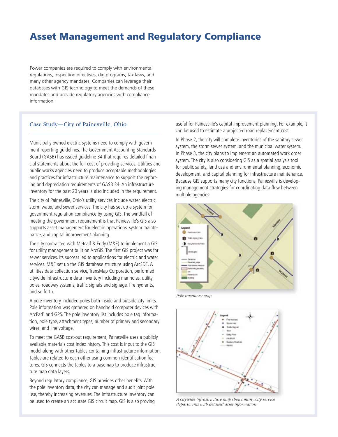### Asset Management and Regulatory Compliance

Power companies are required to comply with environmental regulations, inspection directives, dig programs, tax laws, and many other agency mandates. Companies can leverage their databases with GIS technology to meet the demands of these mandates and provide regulatory agencies with compliance information.

#### Case Study—City of Painesville, Ohio

Municipally owned electric systems need to comply with government reporting guidelines. The Government Accounting Standards Board (GASB) has issued guideline 34 that requires detailed financial statements about the full cost of providing services. Utilities and public works agencies need to produce acceptable methodologies and practices for infrastructure maintenance to support the reporting and depreciation requirements of GASB 34. An infrastructure inventory for the past 20 years is also included in the requirement.

The city of Painesville, Ohio's utility services include water, electric, storm water, and sewer services. The city has set up a system for government regulation compliance by using GIS. The windfall of meeting the government requirement is that Painesville's GIS also supports asset management for electric operations, system maintenance, and capital improvement planning.

The city contracted with Metcalf & Eddy (M&E) to implement a GIS for utility management built on ArcGIS. The first GIS project was for sewer services. Its success led to applications for electric and water services. M&E set up the GIS database structure using ArcSDE. A utilities data collection service, TransMap Corporation, performed citywide infrastructure data inventory including manholes, utility poles, roadway systems, traffic signals and signage, fire hydrants, and so forth.

A pole inventory included poles both inside and outside city limits. Pole information was gathered on handheld computer devices with ArcPad® and GPS. The pole inventory list includes pole tag information, pole type, attachment types, number of primary and secondary wires, and line voltage.

To meet the GASB cost-out requirement, Painesville uses a publicly available materials cost index history. This cost is input to the GIS model along with other tables containing infrastructure information. Tables are related to each other using common identification features. GIS connects the tables to a basemap to produce infrastructure map data layers.

Beyond regulatory compliance, GIS provides other benefits. With the pole inventory data, the city can manage and audit joint pole use, thereby increasing revenues. The infrastructure inventory can be used to create an accurate GIS circuit map. GIS is also proving useful for Painesville's capital improvement planning. For example, it can be used to estimate a projected road replacement cost.

In Phase 2, the city will complete inventories of the sanitary sewer system, the storm sewer system, and the municipal water system. In Phase 3, the city plans to implement an automated work order system. The city is also considering GIS as a spatial analysis tool for public safety, land use and environmental planning, economic development, and capital planning for infrastructure maintenance. Because GIS supports many city functions, Painesville is developing management strategies for coordinating data flow between multiple agencies.



*Pole inventory map*



*A citywide infrastructure map shows many city service departments with detailed asset information.*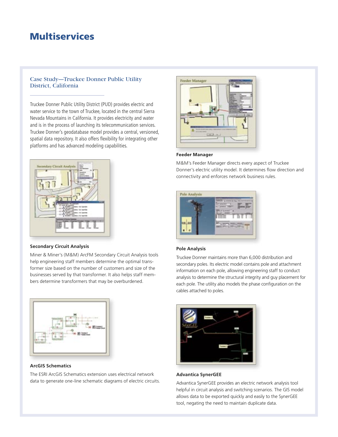## **Multiservices**

#### Case Study—Truckee Donner Public Utility District, California

Truckee Donner Public Utility District (PUD) provides electric and water service to the town of Truckee, located in the central Sierra Nevada Mountains in California. It provides electricity and water and is in the process of launching its telecommunication services. Truckee Donner's geodatabase model provides a central, versioned, spatial data repository. It also offers flexibility for integrating other platforms and has advanced modeling capabilities.



#### **Secondary Circuit Analysis**

Miner & Miner's (M&M) ArcFM Secondary Circuit Analysis tools help engineering staff members determine the optimal transformer size based on the number of customers and size of the businesses served by that transformer. It also helps staff members determine transformers that may be overburdened.



#### **ArcGIS Schematics**

The ESRI ArcGIS Schematics extension uses electrical network data to generate one-line schematic diagrams of electric circuits.



#### **Feeder Manager**

M&M's Feeder Manager directs every aspect of Truckee Donner's electric utility model. It determines flow direction and connectivity and enforces network business rules.



#### **Pole Analysis**

Truckee Donner maintains more than 6,000 distribution and secondary poles. Its electric model contains pole and attachment information on each pole, allowing engineering staff to conduct analysis to determine the structural integrity and guy placement for each pole. The utility also models the phase configuration on the cables attached to poles.



#### **Advantica SynerGEE**

Advantica SynerGEE provides an electric network analysis tool helpful in circuit analysis and switching scenarios. The GIS model allows data to be exported quickly and easily to the SynerGEE tool, negating the need to maintain duplicate data.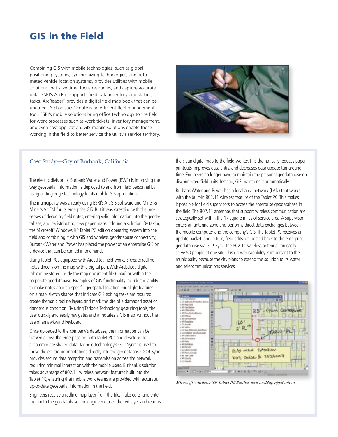### GIS in the Field

Combining GIS with mobile technologies, such as global positioning systems, synchronizing technologies, and automated vehicle location systems, provides utilities with mobile solutions that save time, focus resources, and capture accurate data. ESRI's ArcPad supports field data inventory and staking tasks. ArcReader™ provides a digital field map book that can be updated. ArcLogistics™ Route is an efficient fleet management tool. ESRI's mobile solutions bring office technology to the field for work processes such as work tickets, inventory management, and even cost application. GIS mobile solutions enable those working in the field to better service the utility's service territory.



#### Case Study—City of Burbank, California

The electric division of Burbank Water and Power (BWP) is improving the way geospatial information is deployed to and from field personnel by using cutting edge technology for its mobile GIS applications.

The municipality was already using ESRI's ArcGIS software and Miner & Miner's ArcFM for its enterprise GIS. But it was wrestling with the processes of decoding field notes, entering valid information into the geodatabase, and redistributing new paper maps. It found a solution. By taking the Microsoft® Windows XP Tablet PC edition operating system into the field and combining it with GIS and wireless geodatabase connectivity, Burbank Water and Power has placed the power of an enterprise GIS on a device that can be carried in one hand.

Using Tablet PCs equipped with ArcEditor, field-workers create redline notes directly on the map with a digital pen. With ArcEditor, digital ink can be stored inside the map document file (.mxd) or within the corporate geodatabase. Examples of GIS functionality include the ability to make notes about a specific geospatial location, highlight features on a map, sketch shapes that indicate GIS editing tasks are required, create thematic redline layers, and mark the site of a damaged asset or dangerous condition. By using Tadpole Technology gesturing tools, the user quickly and easily navigates and annotates a GIS map, without the use of an awkward keyboard.

Once uploaded to the company's database, the information can be viewed across the enterprise on both Tablet PCs and desktops. To accommodate shared data, Tadpole Technology's GO! Sync™ is used to move the electronic annotations directly into the geodatabase. GO! Sync provides secure data reception and transmission across the network, requiring minimal interaction with the mobile users. Burbank's solution takes advantage of 802.11 wireless network features built into the Tablet PC, ensuring that mobile work teams are provided with accurate, up-to-date geospatial information in the field.

Engineers receive a redline map layer from the file, make edits, and enter them into the geodatabase. The engineer erases the red layer and returns the clean digital map to the field-worker. This dramatically reduces paper printouts, improves data entry, and decreases data update turnaround time. Engineers no longer have to maintain the personal geodatabase on disconnected field units. Instead, GIS maintains it automatically.

Burbank Water and Power has a local area network (LAN) that works with the built-in 802.11 wireless feature of the Tablet PC. This makes it possible for field supervisors to access the enterprise geodatabase in the field. The 802.11 antennas that support wireless communication are strategically set within the 17 square miles of service area. A supervisor enters an antenna zone and performs direct data exchanges between the mobile computer and the company's GIS. The Tablet PC receives an update packet, and in turn, field edits are posted back to the enterprise geodatabase via GO! Sync. The 802.11 wireless antenna can easily serve 50 people at one site. This growth capability is important to the municipality because the city plans to extend the solution to its water and telecommunications services.



*Microsoft Windows XP Tablet PC Edition and ArcMap application*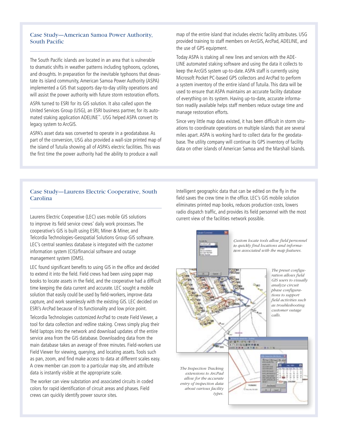#### Case Study—American Samoa Power Authority, South Pacific

The South Pacific islands are located in an area that is vulnerable to dramatic shifts in weather patterns including typhoons, cyclones, and droughts. In preparation for the inevitable typhoons that devastate its island community, American Samoa Power Authority (ASPA) implemented a GIS that supports day-to-day utility operations and will assist the power authority with future storm restoration efforts.

ASPA turned to ESRI for its GIS solution. It also called upon the United Services Group (USG), an ESRI business partner, for its automated staking application ADELINE™. USG helped ASPA convert its legacy system to ArcGIS.

ASPA's asset data was converted to operate in a geodatabase. As part of the conversion, USG also provided a wall-size printed map of the island of Tutuila showing all of ASPA's electric facilities. This was the first time the power authority had the ability to produce a wall

map of the entire island that includes electric facility attributes. USG provided training to staff members on ArcGIS, ArcPad, ADELINE, and the use of GPS equipment.

Today ASPA is staking all new lines and services with the ADE-LINE automated staking software and using the data it collects to keep the ArcGIS system up-to-date. ASPA staff is currently using Microsoft Pocket PC-based GPS collectors and ArcPad to perform a system inventory of the entire island of Tutuila. This data will be used to ensure that ASPA maintains an accurate facility database of everything on its system. Having up-to-date, accurate information readily available helps staff members reduce outage time and manage restoration efforts.

Since very little map data existed, it has been difficult in storm situations to coordinate operations on multiple islands that are several miles apart. ASPA is working hard to collect data for the geodatabase. The utility company will continue its GPS inventory of facility data on other islands of American Samoa and the Marshall Islands.

#### Case Study—Laurens Electric Cooperative, South Carolina

Laurens Electric Cooperative (LEC) uses mobile GIS solutions to improve its field service crews' daily work processes. The cooperative's GIS is built using ESRI, Miner & Miner, and Telcordia Technologies-Geospatial Solutions Group GIS software. LEC's central seamless database is integrated with the customer information system (CIS)/financial software and outage management system (OMS).

LEC found significant benefits to using GIS in the office and decided to extend it into the field. Field crews had been using paper map books to locate assets in the field, and the cooperative had a difficult time keeping the data current and accurate. LEC sought a mobile solution that easily could be used by field-workers, improve data capture, and work seamlessly with the existing GIS. LEC decided on ESRI's ArcPad because of its functionality and low price point.

Telcordia Technologies customized ArcPad to create Field Viewer, a tool for data collection and redline staking. Crews simply plug their field laptops into the network and download updates of the entire service area from the GIS database. Downloading data from the main database takes an average of three minutes. Field-workers use Field Viewer for viewing, querying, and locating assets. Tools such as pan, zoom, and find make access to data at different scales easy. A crew member can zoom to a particular map site, and attribute data is instantly visible at the appropriate scale.

The worker can view substation and associated circuits in coded colors for rapid identification of circuit areas and phases. Field crews can quickly identify power source sites.

Intelligent geographic data that can be edited on the fly in the field saves the crew time in the office. LEC's GIS mobile solution eliminates printed map books, reduces production costs, lowers radio dispatch traffic, and provides its field personnel with the most current view of the facilities network possible.

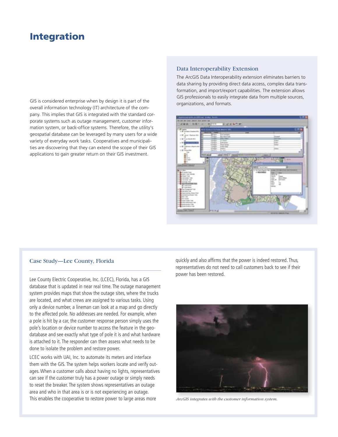### Integration

GIS is considered enterprise when by design it is part of the overall information technology (IT) architecture of the company. This implies that GIS is integrated with the standard corporate systems such as outage management, customer information system, or back-office systems. Therefore, the utility's geospatial database can be leveraged by many users for a wide variety of everyday work tasks. Cooperatives and municipalities are discovering that they can extend the scope of their GIS applications to gain greater return on their GIS investment.

#### Data Interoperability Extension

The ArcGIS Data Interoperability extension eliminates barriers to data sharing by providing direct data access, complex data transformation, and import/export capabilities. The extension allows GIS professionals to easily integrate data from multiple sources, organizations, and formats.



#### Case Study—Lee County, Florida

Lee County Electric Cooperative, Inc. (LCEC), Florida, has a GIS database that is updated in near real time. The outage management system provides maps that show the outage sites, where the trucks are located, and what crews are assigned to various tasks. Using only a device number, a lineman can look at a map and go directly to the affected pole. No addresses are needed. For example, when a pole is hit by a car, the customer response person simply uses the pole's location or device number to access the feature in the geodatabase and see exactly what type of pole it is and what hardware is attached to it. The responder can then assess what needs to be done to isolate the problem and restore power.

LCEC works with UAI, Inc. to automate its meters and interface them with the GIS. The system helps workers locate and verify outages. When a customer calls about having no lights, representatives can see if the customer truly has a power outage or simply needs to reset the breaker. The system shows representatives an outage area and who in that area is or is not experiencing an outage. This enables the cooperative to restore power to large areas more

quickly and also affirms that the power is indeed restored. Thus, representatives do not need to call customers back to see if their power has been restored.



*ArcGIS integrates with the customer information system.*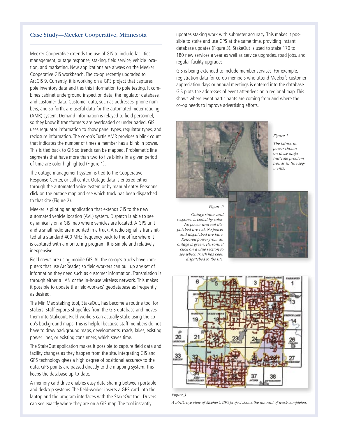#### Case Study—Meeker Cooperative, Minnesota

Meeker Cooperative extends the use of GIS to include facilities management, outage response, staking, field service, vehicle location, and marketing. New applications are always on the Meeker Cooperative GIS workbench. The co-op recently upgraded to ArcGIS 9. Currently, it is working on a GPS project that captures pole inventory data and ties this information to pole testing. It combines cabinet underground inspection data, the regulator database, and customer data. Customer data, such as addresses, phone numbers, and so forth, are useful data for the automated meter reading (AMR) system. Demand information is relayed to field personnel, so they know if transformers are overloaded or underloaded. GIS uses regulator information to show panel types, regulator types, and reclosure information. The co-op's Turtle AMR provides a blink count that indicates the number of times a member has a blink in power. This is tied back to GIS so trends can be mapped. Problematic line segments that have more than two to five blinks in a given period of time are color highlighted (Figure 1).

The outage management system is tied to the Cooperative Response Center, or call center. Outage data is entered either through the automated voice system or by manual entry. Personnel click on the outage map and see which truck has been dispatched to that site (Figure 2).

Meeker is piloting an application that extends GIS to the new automated vehicle location (AVL) system. Dispatch is able to see dynamically on a GIS map where vehicles are located. A GPS unit and a small radio are mounted in a truck. A radio signal is transmitted at a standard 400 MHz frequency back to the office where it is captured with a monitoring program. It is simple and relatively inexpensive.

Field crews are using mobile GIS. All the co-op's trucks have computers that use ArcReader, so field-workers can pull up any set of information they need such as customer information. Transmission is through either a LAN or the in-house wireless network. This makes it possible to update the field-workers' geodatabase as frequently as desired.

The MiniMax staking tool, StakeOut, has become a routine tool for stakers. Staff exports shapefiles from the GIS database and moves them into Stakeout. Field-workers can actually stake using the coop's background maps. This is helpful because staff members do not have to draw background maps, developments, roads, lakes, existing power lines, or existing consumers, which saves time.

The StakeOut application makes it possible to capture field data and facility changes as they happen from the site. Integrating GIS and GPS technology gives a high degree of positional accuracy to the data. GPS points are passed directly to the mapping system. This keeps the database up-to-date.

A memory card drive enables easy data sharing between portable and desktop systems. The field-worker inserts a GPS card into the laptop and the program interfaces with the StakeOut tool. Drivers can see exactly where they are on a GIS map. The tool instantly

updates staking work with submeter accuracy. This makes it possible to stake and use GPS at the same time, providing instant database updates (Figure 3). StakeOut is used to stake 170 to 180 new services a year as well as service upgrades, road jobs, and regular facility upgrades.

GIS is being extended to include member services. For example, registration data for co-op members who attend Meeker's customer appreciation days or annual meetings is entered into the database. GIS plots the addresses of event attendees on a regional map. This shows where event participants are coming from and where the co-op needs to improve advertising efforts.



*Figure 1*

*The blinks in power shown on these maps indicate problem trends in line segments.*



*Outage status and response is coded by color. No power and not dispatched are red. No power and dispatched are blue. Restored power from an outage is green. Personnel click on a blue section to see which truck has been dispatched to the site.*







*A bird's-eye view of Meeker's GPS project shows the amount of work completed.*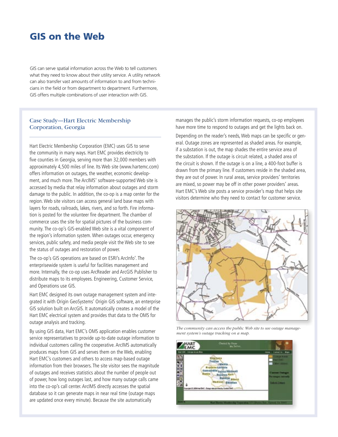### GIS on the Web

GIS can serve spatial information across the Web to tell customers what they need to know about their utility service. A utility network can also transfer vast amounts of information to and from technicians in the field or from department to department. Furthermore, GIS offers multiple combinations of user interaction with GIS.

#### Case Study—Hart Electric Membership Corporation, Georgia

Hart Electric Membership Corporation (EMC) uses GIS to serve the community in many ways. Hart EMC provides electricity to five counties in Georgia, serving more than 32,000 members with approximately 4,500 miles of line. Its Web site (www.hartemc.com) offers information on outages, the weather, economic development, and much more. The ArcIMS® software-supported Web site is accessed by media that relay information about outages and storm damage to the public. In addition, the co-op is a map center for the region. Web site visitors can access general land base maps with layers for roads, railroads, lakes, rivers, and so forth. Fire information is posted for the volunteer fire department. The chamber of commerce uses the site for spatial pictures of the business community. The co-op's GIS-enabled Web site is a vital component of the region's information system. When outages occur, emergency services, public safety, and media people visit the Web site to see the status of outages and restoration of power.

The co-op's GIS operations are based on ESRI's ArcInfo® . The enterprisewide system is useful for facilities management and more. Internally, the co-op uses ArcReader and ArcGIS Publisher to distribute maps to its employees. Engineering, Customer Service, and Operations use GIS.

Hart EMC designed its own outage management system and integrated it with Origin GeoSystems' Origin GIS software, an enterprise GIS solution built on ArcGIS. It automatically creates a model of the Hart EMC electrical system and provides that data to the OMS for outage analysis and tracking.

By using GIS data, Hart EMC's OMS application enables customer service representatives to provide up-to-date outage information to individual customers calling the cooperative. ArcIMS automatically produces maps from GIS and serves them on the Web, enabling Hart EMC's customers and others to access map-based outage information from their browsers. The site visitor sees the magnitude of outages and receives statistics about the number of people out of power, how long outages last, and how many outage calls came into the co-op's call center. ArcIMS directly accesses the spatial database so it can generate maps in near real time (outage maps are updated once every minute). Because the site automatically

manages the public's storm information requests, co-op employees have more time to respond to outages and get the lights back on.

Depending on the reader's needs, Web maps can be specific or general. Outage zones are represented as shaded areas. For example, if a substation is out, the map shades the entire service area of the substation. If the outage is circuit related, a shaded area of the circuit is shown. If the outage is on a line, a 400-foot buffer is drawn from the primary line. If customers reside in the shaded area, they are out of power. In rural areas, service providers' territories are mixed, so power may be off in other power providers' areas. Hart EMC's Web site posts a service provider's map that helps site visitors determine who they need to contact for customer service.



*The community can access the public Web site to see outage management system's outage tracking on a map.*

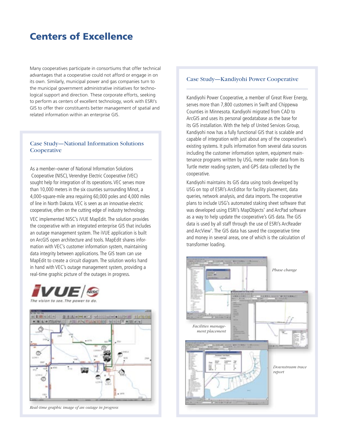# Centers of Excellence

Many cooperatives participate in consortiums that offer technical advantages that a cooperative could not afford or engage in on its own. Similarly, municipal power and gas companies turn to the municipal government administrative initiatives for technological support and direction. These corporate efforts, seeking to perform as centers of excellent technology, work with ESRI's GIS to offer their constituents better management of spatial and related information within an enterprise GIS.

#### Case Study—National Information Solutions Cooperative

As a member–owner of National Information Solutions Cooperative (NISC), Verendrye Electric Cooperative (VEC) sought help for integration of its operations. VEC serves more than 10,000 meters in the six counties surrounding Minot, a 4,000-square-mile area requiring 60,000 poles and 4,000 miles of line in North Dakota. VEC is seen as an innovative electric cooperative, often on the cutting edge of industry technology.

VEC implemented NISC's iVUE MapEdit. The solution provides the cooperative with an integrated enterprise GIS that includes an outage management system. The iVUE application is built on ArcGIS open architecture and tools. MapEdit shares information with VEC's customer information system, maintaining data integrity between applications. The GIS team can use MapEdit to create a circuit diagram. The solution works hand in hand with VEC's outage management system, providing a real-time graphic picture of the outages in progress.





#### *Real-time graphic image of an outage in progress*

#### Case Study—Kandiyohi Power Cooperative

Kandiyohi Power Cooperative, a member of Great River Energy, serves more than 7,800 customers in Swift and Chippewa Counties in Minnesota. Kandiyohi migrated from CAD to ArcGIS and uses its personal geodatabase as the base for its GIS installation. With the help of United Services Group, Kandiyohi now has a fully functional GIS that is scalable and capable of integration with just about any of the cooperative's existing systems. It pulls information from several data sources including the customer information system, equipment maintenance programs written by USG, meter reader data from its Turtle meter reading system, and GPS data collected by the cooperative.

Kandiyohi maintains its GIS data using tools developed by USG on top of ESRI's ArcEditor for facility placement, data queries, network analysis, and data imports. The cooperative plans to include USG's automated staking sheet software that was developed using ESRI's MapObjects® and ArcPad software as a way to help update the cooperative's GIS data. The GIS data is used by all staff through the use of ESRI's ArcReader and ArcView® . The GIS data has saved the cooperative time and money in several areas, one of which is the calculation of transformer loading.

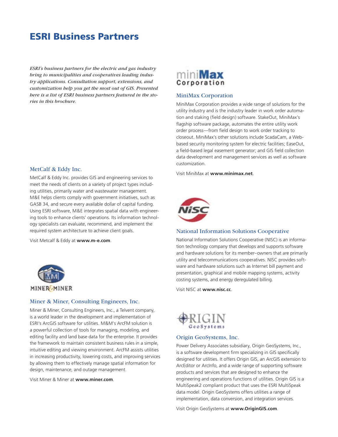### ESRI Business Partners

*ESRI's business partners for the electric and gas industry bring to municipalities and cooperatives leading industry applications. Consultation support, extensions, and customization help you get the most out of GIS. Presented here is a list of ESRI business partners featured in the stories in this brochure.* 

#### MetCalf & Eddy Inc.

MetCalf & Eddy Inc. provides GIS and engineering services to meet the needs of clients on a variety of project types including utilities, primarily water and wastewater management. M&E helps clients comply with government initiatives, such as GASB 34, and secure every available dollar of capital funding. Using ESRI software, M&E integrates spatial data with engineering tools to enhance clients' operations. Its information technology specialists can evaluate, recommend, and implement the required system architecture to achieve client goals.

Visit Metcalf & Eddy at **www.m-e.com**.



#### Miner & Miner, Consulting Engineers, Inc.

Miner & Miner, Consulting Engineers, Inc., a Telvent company, is a world leader in the development and implementation of ESRI's ArcGIS software for utilities. M&M's ArcFM solution is a powerful collection of tools for managing, modeling, and editing facility and land base data for the enterprise. It provides the framework to maintain consistent business rules in a simple, intuitive editing and viewing environment. ArcFM assists utilities in increasing productivity, lowering costs, and improving services by allowing them to effectively manage spatial information for design, maintenance, and outage management.

Visit Miner & Miner at **www.miner.com**.



#### MiniMax Corporation

MiniMax Corporation provides a wide range of solutions for the utility industry and is the industry leader in work order automation and staking (field design) software. StakeOut, MiniMax's flagship software package, automates the entire utility work order process—from field design to work order tracking to closeout. MiniMax's other solutions include ScadaCam, a Webbased security monitoring system for electric facilities; EaseOut, a field-based legal easement generator; and GIS field collection data development and management services as well as software customization.

Visit MiniMax at **www.minimax.net**.



#### National Information Solutions Cooperative

National Information Solutions Cooperative (NISC) is an information technology company that develops and supports software and hardware solutions for its member–owners that are primarily utility and telecommunications cooperatives. NISC provides software and hardware solutions such as Internet bill payment and presentation, graphical and mobile mapping systems, activity costing systems, and energy deregulated billing.

Visit NISC at **www.nisc.cc**.



#### Origin GeoSystems, Inc.

Power Delivery Associates subsidiary, Origin GeoSystems, Inc., is a software development firm specializing in GIS specifically designed for utilities. It offers Origin GIS, an ArcGIS extension to ArcEditor or ArcInfo, and a wide range of supporting software products and services that are designed to enhance the engineering and operations functions of utilities. Origin GIS is a MultiSpeak2 compliant product that uses the ESRI MultiSpeak data model. Origin GeoSystems offers utilities a range of implementation, data conversion, and integration services.

Visit Origin GeoSystems at **www.OriginGIS.com**.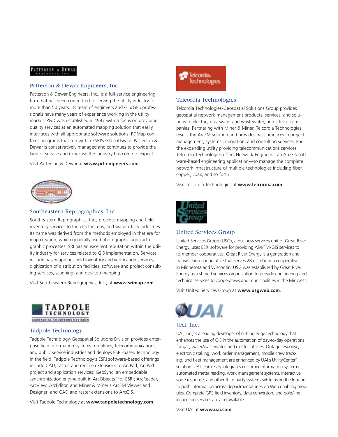### ATTERSON & DEWAR

#### Patterson & Dewar Engineers, Inc.

Patterson & Dewar Engineers, Inc., is a full-service engineering firm that has been committed to serving the utility industry for more than 50 years. Its team of engineers and GIS/GPS professionals have many years of experience working in the utility market. P&D was established in 1947 with a focus on providing quality services at an automated mapping solution that easily interfaces with all appropriate software solutions. PDMap contains programs that run within ESRI's GIS software. Patterson & Dewar is conservatively managed and continues to provide the kind of service and expertise the industry has come to expect.

#### Visit Patterson & Dewar at **www.pd-engineers.com**.



#### Southeastern Reprographics, Inc.

Southeastern Reprographics, Inc., provides mapping and field inventory services to the electric, gas, and water utility industries. Its name was derived from the methods employed in that era for map creation, which generally used photographic and cartographic processes. SRI has an excellent reputation within the utility industry for services related to GIS implementation. Services include basemapping, field inventory and verification services, digitization of distribution facilities, software and project consulting services, scanning, and desktop mapping.

Visit Southeastern Reprographics, Inc., at **www.srimap.com**.



#### Tadpole Technology

Tadpole Technology-Geospatial Solutions Division provides enterprise field information systems to utilities, telecommunications, and public service industries and deploys ESRI-based technology in the field. Tadpole Technology's ESRI software-based offerings include CAD, raster, and redline extensions to ArcPad; ArcPad project and application services; GeoSync, an embeddable synchronization engine built in ArcObjects™ for ESRI; ArcReader, ArcView, ArcEditor, and Miner & Miner's ArcFM Viewer and Designer; and CAD and raster extensions to ArcGIS.

Visit Tadpole Technology at **www.tadpoletechnology.com**.



#### Telcordia Technologies

Telcordia Technologies-Geospatial Solutions Group provides geospatial network management products, services, and solutions to electric, gas, water and wastewater, and Utelco companies. Partnering with Miner & Miner, Telcordia Technologies resells the ArcFM solution and provides best practices in project management, systems integration, and consulting services. For the expanding utility providing telecommunications services, Telcordia Technologies offers Network Engineer—an ArcGIS software-based engineering application—to manage the complete network infrastructure of multiple technologies including fiber, copper, coax, and so forth.

Visit Telcordia Technologies at **www.telcordia.com**.



#### United Services Group

United Services Group (USG), a business services unit of Great River Energy, uses ESRI software for providing AM/FM/GIS services to its member cooperatives. Great River Energy is a generation and transmission cooperative that serves 28 distribution cooperatives in Minnesota and Wisconsin. USG was established by Great River Energy as a shared services organization to provide engineering and technical services to cooperatives and municipalities in the Midwest.

Visit United Services Group at **www.usgweb.com**.



#### UAI, Inc.

UAI, Inc., is a leading developer of cutting edge technology that enhances the use of GIS in the automation of day-to-day operations for gas, water/wastewater, and electric utilities. Outage response, electronic staking, work order management, mobile crew tracking, and fleet management are enhanced by UAI's UtilityCenter™ solution. UAI seamlessly integrates customer information systems, automated meter reading, work management systems, interactive voice response, and other third party systems while using the Intranet to push information across departmental lines via Web enabling modules. Complete GPS field inventory, data conversion, and pole/line inspection services are also available.

Visit UAI at **www.uai.com**.